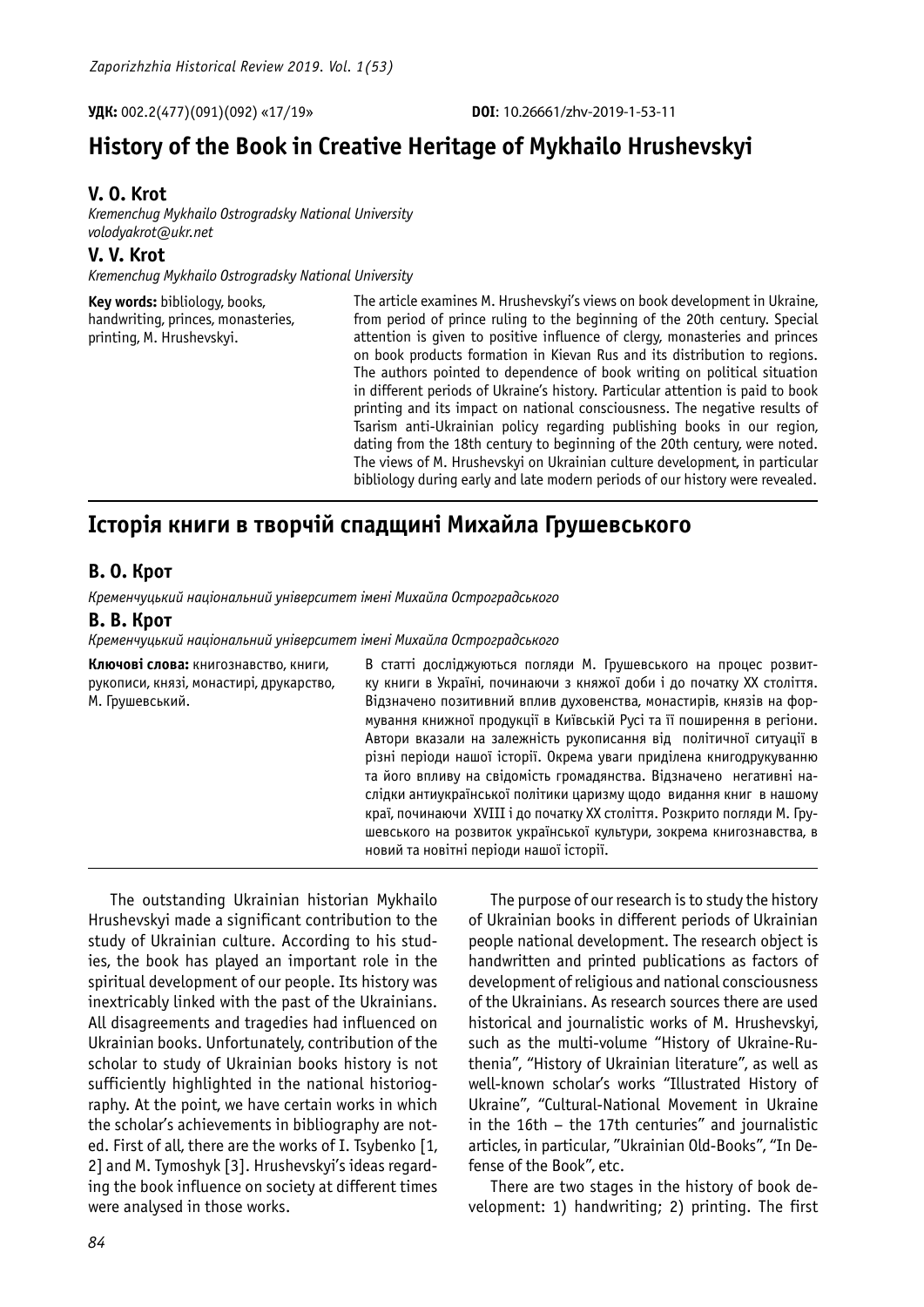# **History of the Book in Creative Heritage of Mykhailo Hrushevskyi**

## **V. O. Krot**

*Kremenchug Mykhailo Ostrogradsky National University volodyakrot@ukr.net*

**V. V. Krot**

*Kremenchug Mykhailo Ostrogradsky National University*

| Key words: bibliology, books,      | The article examines M. Hrushevskyi's views on book development in Ukraine,     |
|------------------------------------|---------------------------------------------------------------------------------|
| handwriting, princes, monasteries, | from period of prince ruling to the beginning of the 20th century. Special      |
| printing, M. Hrushevskyi.          | attention is given to positive influence of clergy, monasteries and princes     |
|                                    | on book products formation in Kievan Rus and its distribution to regions.       |
|                                    | The authors pointed to dependence of book writing on political situation        |
|                                    | in different periods of Ukraine's history. Particular attention is paid to book |
|                                    | printing and its impact on national consciousness. The negative results of      |
|                                    | Tsarism anti-Ukrainian policy regarding publishing books in our region,         |
|                                    | dating from the 18th century to beginning of the 20th century, were noted.      |
|                                    | The views of M. Hrushevskyi on Ukrainian culture development, in particular     |
|                                    | bibliology during early and late modern periods of our history were revealed.   |
|                                    |                                                                                 |

## **Історія книги в творчій спадщині Михайла Грушевського**

### **В. О. Крот**

*Кременчуцький національний університет імені Михайла Остроградського*

#### **В. В. Крот**

*Кременчуцький національний університет імені Михайла Остроградського*

| Ключові слова: книгознавство, книги,<br>рукописи, князі, монастирі, друкарство,<br>М. Грушевський. | В статті досліджуються погляди М. Грушевського на процес розвит-<br>ку книги в Україні, починаючи з княжої доби і до початку XX століття.<br>Відзначено позитивний вплив духовенства, монастирів, князів на фор-<br>мування книжної продукції в Київській Русі та її поширення в регіони.<br>Автори вказали на залежність рукописання від політичної ситуації в<br>різні періоди нашої історії. Окрема уваги приділена книгодрукуванню<br>та його впливу на свідомість громадянства. Відзначено негативні на-<br>слідки антиукраїнської політики царизму щодо видання книг в нашому<br>краї, починаючи XVIII і до початку XX століття. Розкрито погляди М. Гру-<br>шевського на розвиток української культури, зокрема книгознавства, в<br>новий та новітні періоди нашої історії. |
|----------------------------------------------------------------------------------------------------|------------------------------------------------------------------------------------------------------------------------------------------------------------------------------------------------------------------------------------------------------------------------------------------------------------------------------------------------------------------------------------------------------------------------------------------------------------------------------------------------------------------------------------------------------------------------------------------------------------------------------------------------------------------------------------------------------------------------------------------------------------------------------------|
|----------------------------------------------------------------------------------------------------|------------------------------------------------------------------------------------------------------------------------------------------------------------------------------------------------------------------------------------------------------------------------------------------------------------------------------------------------------------------------------------------------------------------------------------------------------------------------------------------------------------------------------------------------------------------------------------------------------------------------------------------------------------------------------------------------------------------------------------------------------------------------------------|

The outstanding Ukrainian historian Mykhailo Hrushevskyi made a significant contribution to the study of Ukrainian culture. According to his studies, the book has played an important role in the spiritual development of our people. Its history was inextricably linked with the past of the Ukrainians. All disagreements and tragedies had influenced on Ukrainian books. Unfortunately, contribution of the scholar to study of Ukrainian books history is not sufficiently highlighted in the national historiography. At the point, we have certain works in which the scholar's achievements in bibliography are noted. First of all, there are the works of I. Tsybenko [1, 2] and M. Tymoshyk [3]. Hrushevskyi's ideas regarding the book influence on society at different times were analysed in those works.

The purpose of our research is to study the history of Ukrainian books in different periods of Ukrainian people national development. The research object is handwritten and printed publications as factors of development of religious and national consciousness of the Ukrainians. As research sources there are used historical and journalistic works of M. Hrushevskyi, such as the multi-volume "History of Ukraine-Ruthenia", "History of Ukrainian literature", as well as well-known scholar's works "Illustrated History of Ukraine", "Cultural-National Movement in Ukraine in the 16th – the 17th centuries" and journalistic articles, in particular, "Ukrainian Old-Books", "In Defense of the Book", etc.

There are two stages in the history of book development: 1) handwriting; 2) printing. The first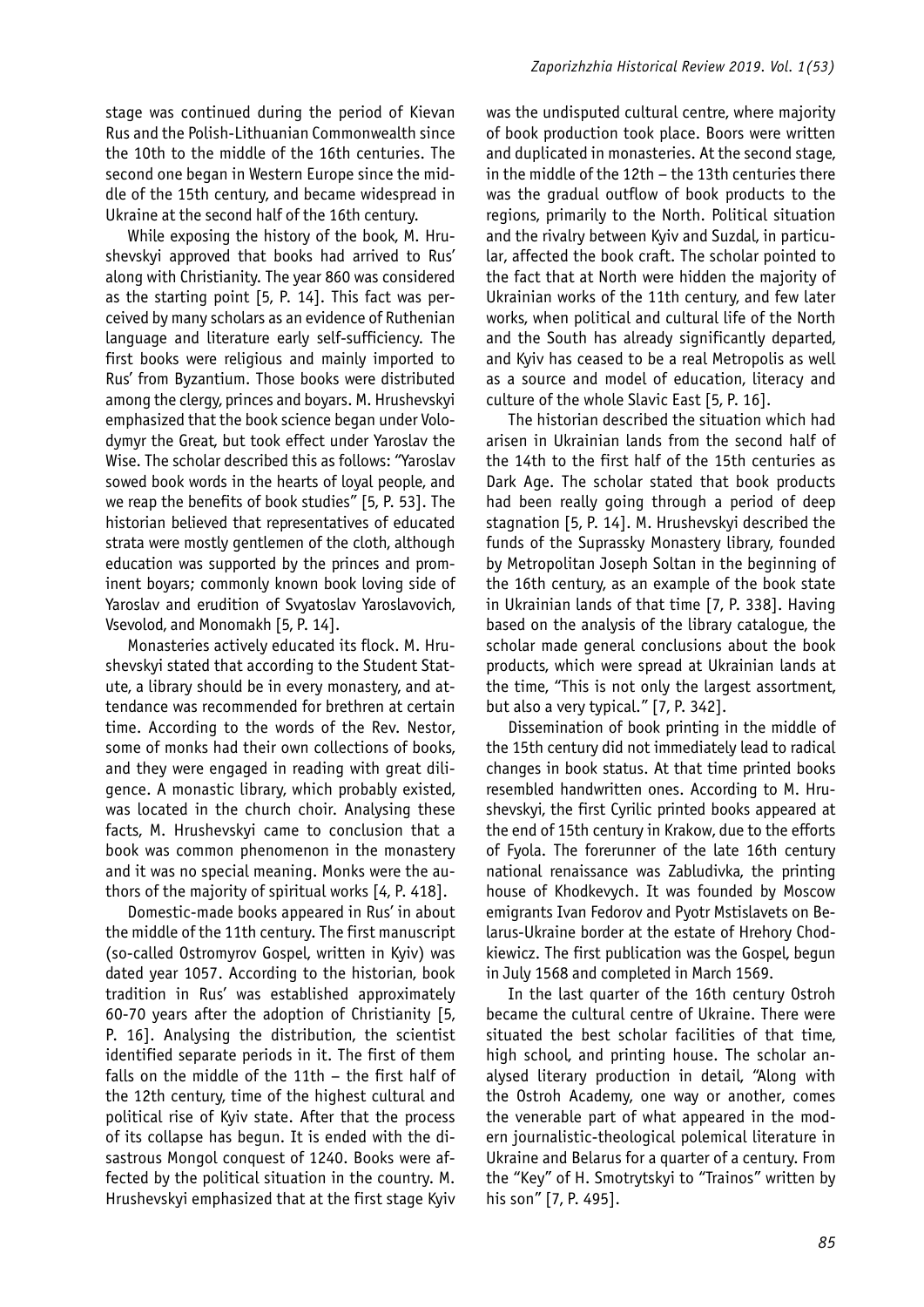stage was continued during the period of Kievan Rus and the Polish-Lithuanian Commonwealth since the 10th to the middle of the 16th centuries. The second one began in Western Europe since the middle of the 15th century, and became widespread in Ukraine at the second half of the 16th century.

While exposing the history of the book, M. Hrushevskyi approved that books had arrived to Rus' along with Christianity. The year 860 was considered as the starting point [5, P. 14]. This fact was perceived by many scholars as an evidence of Ruthenian language and literature early self-sufficiency. The first books were religious and mainly imported to Rus' from Byzantium. Those books were distributed among the clergy, princes and boyars. M. Hrushevskyi emphasized that the book science began under Volodymyr the Great, but took effect under Yaroslav the Wise. The scholar described this as follows: "Yaroslav sowed book words in the hearts of loyal people, and we reap the benefits of book studies" [5, P. 53]. The historian believed that representatives of educated strata were mostly gentlemen of the cloth, although education was supported by the princes and prominent boyars; commonly known book loving side of Yaroslav and erudition of Svyatoslav Yaroslavovich, Vsevolod, and Monomakh [5, P. 14].

Monasteries actively educated its flock. M. Hrushevskyi stated that according to the Student Statute, a library should be in every monastery, and attendance was recommended for brethren at certain time. According to the words of the Rev. Nestor, some of monks had their own collections of books, and they were engaged in reading with great diligence. A monastic library, which probably existed, was located in the church choir. Analysing these facts, M. Hrushevskyi came to conclusion that a book was common phenomenon in the monastery and it was no special meaning. Monks were the authors of the majority of spiritual works [4, P. 418].

Domestic-made books appeared in Rus' in about the middle of the 11th century. The first manuscript (so-called Ostromyrov Gospel, written in Kyiv) was dated year 1057. According to the historian, book tradition in Rus' was established approximately 60-70 years after the adoption of Christianity [5, P. 16]. Analysing the distribution, the scientist identified separate periods in it. The first of them falls on the middle of the 11th – the first half of the 12th century, time of the highest cultural and political rise of Kyiv state. After that the process of its collapse has begun. It is ended with the disastrous Mongol conquest of 1240. Books were affected by the political situation in the country. M. Hrushevskyi emphasized that at the first stage Kyiv

was the undisputed cultural centre, where majority of book production took place. Boors were written and duplicated in monasteries. At the second stage, in the middle of the 12th – the 13th centuries there was the gradual outflow of book products to the regions, primarily to the North. Political situation and the rivalry between Kyiv and Suzdal, in particular, affected the book craft. The scholar pointed to the fact that at North were hidden the majority of Ukrainian works of the 11th century, and few later works, when political and cultural life of the North and the South has already significantly departed, and Kyiv has ceased to be a real Metropolis as well as a source and model of education, literacy and culture of the whole Slavic East [5, P. 16].

The historian described the situation which had arisen in Ukrainian lands from the second half of the 14th to the first half of the 15th centuries as Dark Age. The scholar stated that book products had been really going through a period of deep stagnation [5, P. 14]. M. Hrushevskyi described the funds of the Suprassky Monastery library, founded by Metropolitan Joseph Soltan in the beginning of the 16th century, as an example of the book state in Ukrainian lands of that time [7, P. 338]. Having based on the analysis of the library catalogue, the scholar made general conclusions about the book products, which were spread at Ukrainian lands at the time, "This is not only the largest assortment, but also a very typical." [7, P. 342].

Dissemination of book printing in the middle of the 15th century did not immediately lead to radical changes in book status. At that time printed books resembled handwritten ones. According to M. Hrushevskyi, the first Cyrilic printed books appeared at the end of 15th century in Krakow, due to the efforts of Fyola. The forerunner of the late 16th century national renaissance was Zabludivka, the printing house of Khodkevych. It was founded by Moscow emigrants Ivan Fedorov and Pyotr Mstislavets on Belarus-Ukraine border at the estate of Hrehory Chodkiewicz. The first publication was the Gospel, begun in July 1568 and completed in March 1569.

In the last quarter of the 16th century Ostroh became the cultural centre of Ukraine. There were situated the best scholar facilities of that time, high school, and printing house. The scholar analysed literary production in detail, "Along with the Ostroh Academy, one way or another, comes the venerable part of what appeared in the modern journalistic-theological polemical literature in Ukraine and Belarus for a quarter of a century. From the "Key" of H. Smotrytskyi to "Trainos" written by his son" [7, P. 495].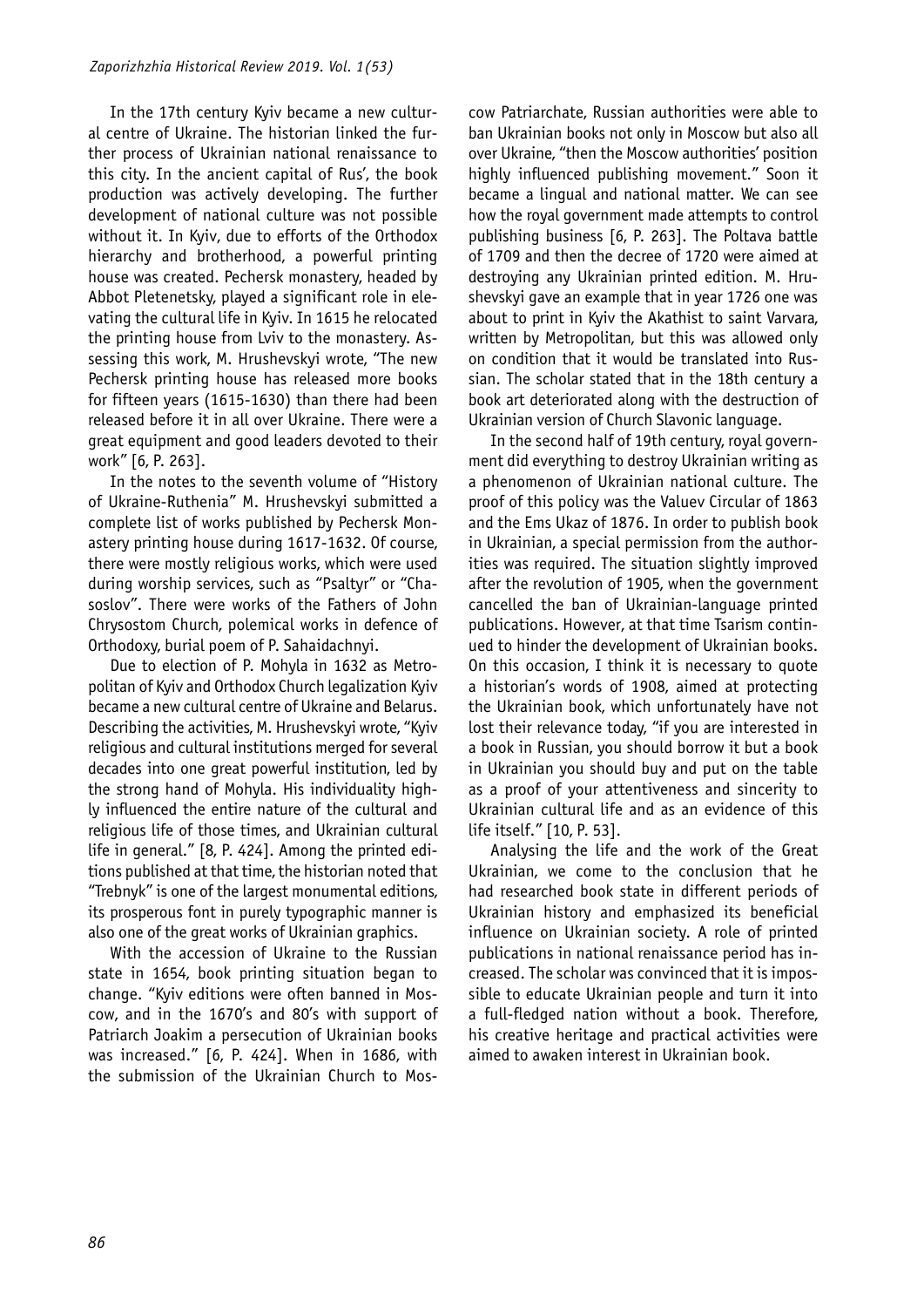In the 17th century Kyiv became a new cultural centre of Ukraine. The historian linked the further process of Ukrainian national renaissance to this city. In the ancient capital of Rus', the book production was actively developing. The further development of national culture was not possible without it. In Kyiv, due to efforts of the Orthodox hierarchy and brotherhood, a powerful printing house was created. Pechersk monastery, headed by Abbot Pletenetsky, played a significant role in elevating the cultural life in Kyiv. In 1615 he relocated the printing house from Lviv to the monastery. Assessing this work, M. Hrushevskyi wrote, "The new Pechersk printing house has released more books for fifteen years (1615-1630) than there had been released before it in all over Ukraine. There were a great equipment and good leaders devoted to their work" [6, P. 263].

In the notes to the seventh volume of "History of Ukraine-Ruthenia" M. Hrushevskyi submitted a complete list of works published by Pechersk Monastery printing house during 1617-1632. Of course, there were mostly religious works, which were used during worship services, such as "Psaltyr" or "Chasoslov". There were works of the Fathers of John Chrysostom Church, polemical works in defence of Orthodoxy, burial poem of P. Sahaidachnyi.

Due to election of P. Mohyla in 1632 as Metropolitan of Kyiv and Orthodox Church legalization Kyiv became a new cultural centre of Ukraine and Belarus. Describing the activities, M. Hrushevskyi wrote, "Kyiv religious and cultural institutions merged for several decades into one great powerful institution, led by the strong hand of Mohyla. His individuality highly influenced the entire nature of the cultural and religious life of those times, and Ukrainian cultural life in general." [8, P. 424]. Among the printed editions published at that time, the historian noted that "Trebnyk" is one of the largest monumental editions, its prosperous font in purely typographic manner is also one of the great works of Ukrainian graphics.

With the accession of Ukraine to the Russian state in 1654, book printing situation began to change. "Kyiv editions were often banned in Moscow, and in the 1670's and 80's with support of Patriarch Joakim a persecution of Ukrainian books was increased." [6, P. 424]. When in 1686, with the submission of the Ukrainian Church to Moscow Patriarchate, Russian authorities were able to ban Ukrainian books not only in Moscow but also all over Ukraine, "then the Moscow authorities' position highly influenced publishing movement." Soon it became a lingual and national matter. We can see how the royal government made attempts to control publishing business [6, P. 263]. The Poltava battle of 1709 and then the decree of 1720 were aimed at destroying any Ukrainian printed edition. M. Hrushevskyi gave an example that in year 1726 one was about to print in Kyiv the Akathist to saint Varvara, written by Metropolitan, but this was allowed only on condition that it would be translated into Russian. The scholar stated that in the 18th century a book art deteriorated along with the destruction of Ukrainian version of Church Slavonic language.

In the second half of 19th century, royal government did everything to destroy Ukrainian writing as a phenomenon of Ukrainian national culture. The proof of this policy was the Valuev Circular of 1863 and the Ems Ukaz of 1876. In order to publish book in Ukrainian, a special permission from the authorities was required. The situation slightly improved after the revolution of 1905, when the government cancelled the ban of Ukrainian-language printed publications. However, at that time Tsarism continued to hinder the development of Ukrainian books. On this occasion, I think it is necessary to quote a historian's words of 1908, aimed at protecting the Ukrainian book, which unfortunately have not lost their relevance today, "if you are interested in a book in Russian, you should borrow it but a book in Ukrainian you should buy and put on the table as a proof of your attentiveness and sincerity to Ukrainian cultural life and as an evidence of this life itself." [10, P. 53].

Analysing the life and the work of the Great Ukrainian, we come to the conclusion that he had researched book state in different periods of Ukrainian history and emphasized its beneficial influence on Ukrainian society. A role of printed publications in national renaissance period has increased. The scholar was convinced that it is impossible to educate Ukrainian people and turn it into a full-fledged nation without a book. Therefore, his creative heritage and practical activities were aimed to awaken interest in Ukrainian book.